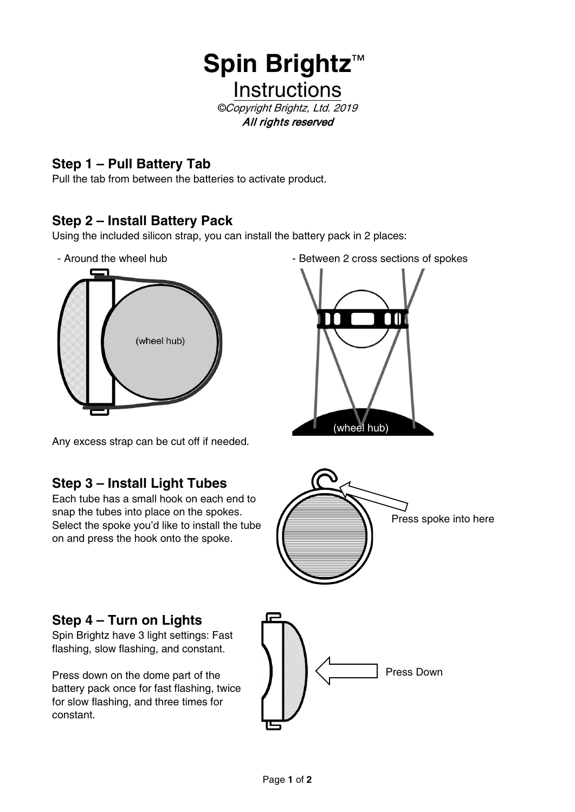

## **Step 1 – Pull Battery Tab**

Pull the tab from between the batteries to activate product.

## **Step 2 – Install Battery Pack**

Using the included silicon strap, you can install the battery pack in 2 places:



- Around the wheel hub  $\overline{ }$  - Between 2 cross sections of spokes



Any excess strap can be cut off if needed.

## **Step 3 – Install Light Tubes**

Each tube has a small hook on each end to snap the tubes into place on the spokes. Select the spoke you'd like to install the tube on and press the hook onto the spoke.



## **Step 4 – Turn on Lights**

Spin Brightz have 3 light settings: Fast flashing, slow flashing, and constant.

Press down on the dome part of the battery pack once for fast flashing, twice for slow flashing, and three times for constant.